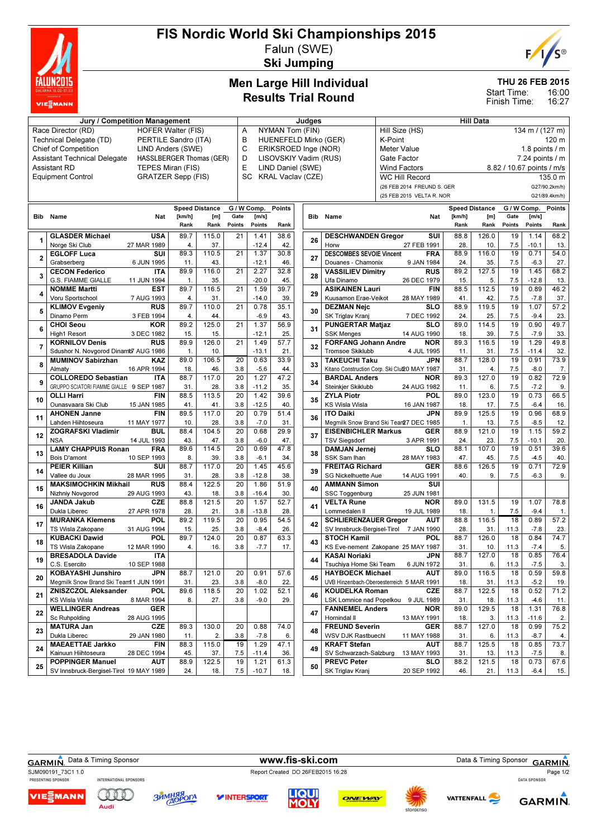

#### FIS Nordic World Ski Championships 2015 Falun (SWE)

Ski Jumping

# C®  $F$

THU 26 FEB 2015

16:00 16:27 Start Time: Finish Time:

#### Men Large Hill Individual Results Trial Round

| Jury / Competition Management                                          |                                                                  |             |            |                       |                 |                                           |                                                                            | Judges |                                                        | <b>Hill Data</b>                              |                 |                       |                 |                     |               |  |
|------------------------------------------------------------------------|------------------------------------------------------------------|-------------|------------|-----------------------|-----------------|-------------------------------------------|----------------------------------------------------------------------------|--------|--------------------------------------------------------|-----------------------------------------------|-----------------|-----------------------|-----------------|---------------------|---------------|--|
| Race Director (RD)<br><b>HOFER Walter (FIS)</b>                        |                                                                  |             |            |                       |                 | NYMAN Tom (FIN)<br>A                      |                                                                            |        |                                                        | Hill Size (HS)<br>134 m / (127 m)             |                 |                       |                 |                     |               |  |
|                                                                        | Technical Delegate (TD)<br>PERTILE Sandro (ITA)                  |             |            |                       | в               |                                           | HUENEFELD Mirko (GER)                                                      |        |                                                        | K-Point<br>120 m                              |                 |                       |                 |                     |               |  |
| <b>Chief of Competition</b><br>LIND Anders (SWE)                       |                                                                  |             |            |                       | C               |                                           | ERIKSROED Inge (NOR)                                                       |        |                                                        | <b>Meter Value</b>                            | 1.8 points $/m$ |                       |                 |                     |               |  |
| <b>Assistant Technical Delegate</b><br><b>HASSLBERGER Thomas (GER)</b> |                                                                  |             |            |                       |                 | D<br>LISOVSKIY Vadim (RUS)<br>Gate Factor |                                                                            |        |                                                        |                                               |                 |                       |                 | $7.24$ points $/ m$ |               |  |
| <b>Assistant RD</b><br>TEPES Miran (FIS)                               |                                                                  |             |            |                       |                 |                                           | E<br>LIND Daniel (SWE)<br><b>Wind Factors</b><br>8.82 / 10.67 points / m/s |        |                                                        |                                               |                 |                       |                 |                     |               |  |
| <b>Equipment Control</b><br><b>GRATZER Sepp (FIS)</b>                  |                                                                  |             |            |                       |                 |                                           | SC<br><b>KRAL Vaclav (CZE)</b><br><b>WC Hill Record</b>                    |        |                                                        |                                               |                 |                       |                 |                     | 135.0 m       |  |
|                                                                        |                                                                  |             |            |                       |                 |                                           |                                                                            |        |                                                        | G27/90.2km/h)<br>(26 FEB 2014 FREUND S. GER   |                 |                       |                 |                     |               |  |
|                                                                        |                                                                  |             |            |                       |                 |                                           |                                                                            |        |                                                        | (25 FEB 2015 VELTA R. NOR                     |                 |                       |                 |                     | G21/89.4km/h) |  |
|                                                                        |                                                                  |             |            |                       |                 |                                           |                                                                            |        |                                                        |                                               |                 |                       |                 |                     |               |  |
|                                                                        |                                                                  |             |            | <b>Speed Distance</b> |                 | G / W Comp.                               | <b>Points</b>                                                              |        |                                                        |                                               |                 | <b>Speed Distance</b> |                 | G / W Comp.         | Points        |  |
|                                                                        | <b>Bib</b> Name                                                  | Nat         | [km/h]     | [m]                   | Gate            | [m/s]                                     |                                                                            |        | <b>Bib</b> Name                                        | Nat                                           | [km/h]          | [m]                   | Gate            | [m/s]               |               |  |
|                                                                        |                                                                  |             | Rank       | Rank                  | Points          | Points                                    | Rank                                                                       |        |                                                        |                                               | Rank            | Rank                  | Points          | Points              | Rank          |  |
| 1                                                                      | <b>GLASDER Michael</b>                                           | <b>USA</b>  | 89.7       | 115.0                 | 21              | 1.41                                      | 38.6                                                                       | 26     | <b>DESCHWANDEN Gregor</b>                              | SUI                                           | 88.8            | 126.0                 | 19              | 1.14                | 68.2          |  |
|                                                                        | Norge Ski Club                                                   | 27 MAR 1989 | 4.         | 37.                   |                 | $-12.4$                                   | 42.                                                                        |        | Horw                                                   | 27 FEB 1991                                   | 28.             | 10.                   | 7.5             | $-10.1$             | 13.           |  |
| $\overline{2}$                                                         | <b>EGLOFF Luca</b>                                               | SUI         | 89.3       | 110.5                 | 21              | 1.37                                      | 30.8                                                                       | 27     | <b>DESCOMBES SEVOIE Vincent</b>                        | <b>FRA</b>                                    | 88.9            | 116.0                 | 19              | 0.71                | 54.0          |  |
|                                                                        | Grabserberg                                                      | 6 JUN 1995  | 11.        | 43.                   |                 | $-12.1$                                   | 46.                                                                        |        | Douanes - Chamonix                                     | 9 JAN 1984                                    | 24.             | 35.                   | 7.5             | $-6.3$              | 27.           |  |
| 3                                                                      | <b>CECON Federico</b>                                            | <b>ITA</b>  | 89.9       | 116.0                 | 21              | 2.27                                      | 32.8                                                                       | 28     | <b>VASSILIEV Dimitry</b>                               | <b>RUS</b>                                    | 89.2            | 127.5                 | 19              | 1.45                | 68.2          |  |
|                                                                        | <b>G.S. FIAMME GIALLE</b>                                        | 11 JUN 1994 | 1.         | 35.                   |                 | $-20.0$                                   | 45.                                                                        |        | Ufa Dinamo                                             | 26 DEC 1979                                   | 15.             | 5.                    | 7.5             | $-12.8$             | 13.           |  |
| 4                                                                      | <b>NOMME Martti</b>                                              | <b>EST</b>  | 89.7       | 116.5                 | 21              | 1.59                                      | 39.7                                                                       | 29     | <b>ASIKAINEN Lauri</b>                                 | <b>FIN</b>                                    | 88.5            | 112.5                 | 19              | 0.89                | 46.2          |  |
|                                                                        | Voru Sportschool                                                 | 7 AUG 1993  | 4.         | 31.                   |                 | $-14.0$                                   | 39.                                                                        |        | Kuusamon Erae-Veikot                                   | 28 MAY 1989                                   | 41.             | 42.                   | 7.5             | $-7.8$              | 37.           |  |
| 5                                                                      | <b>KLIMOV Evgeniy</b>                                            | <b>RUS</b>  | 89.7       | 110.0                 | $\overline{21}$ | 0.78                                      | 35.1                                                                       | 30     | <b>DEZMAN Nejc</b>                                     | SLO                                           | 88.9            | 119.5                 | 19              | 1.07                | 57.2          |  |
|                                                                        | Dinamo Perm                                                      | 3 FEB 1994  | 4.         | 44.                   |                 | $-6.9$                                    | 43.                                                                        |        | SK Triglav Kranj                                       | 7 DEC 1992                                    | 24.             | 25.                   | 7.5             | $-9.4$              | 23.           |  |
| 6                                                                      | <b>CHOI Seou</b>                                                 | <b>KOR</b>  | 89.2       | 125.0                 | 21              | 1.37                                      | 56.9                                                                       | 31     | <b>PUNGERTAR Matjaz</b>                                | <b>SLO</b>                                    | 89.0            | 114.5                 | 19              | 0.90                | 49.7          |  |
|                                                                        | High1 Resort<br><b>KORNILOV Denis</b>                            | 3 DEC 1982  | 15.        | 15.                   |                 | $-12.1$                                   | 25.                                                                        |        | <b>SSK Menges</b>                                      | 14 AUG 1990                                   | 18.             | 39.                   | 7.5             | $-7.9$              | 33.           |  |
| $\overline{7}$                                                         |                                                                  | <b>RUS</b>  | 89.9       | 126.0                 | 21              | 1.49                                      | 57.7                                                                       | 32     | <b>FORFANG Johann Andre</b><br><b>Tromsoe Skiklubb</b> | <b>NOR</b>                                    | 89.3            | 116.5                 | 19              | 1.29                | 49.8          |  |
|                                                                        | Sdushor N. Novgorod Dinamb7 AUG 1986<br><b>MUMINOV Sabirzhan</b> | <b>KAZ</b>  | 1.<br>89.0 | 10.<br>106.5          | $\overline{20}$ | $-13.1$                                   | 21.<br>33.9                                                                |        | <b>TAKEUCHI Taku</b>                                   | 4 JUL 1995<br><b>JPN</b>                      | 11.<br>88.7     | 31.<br>128.0          | 7.5<br>19       | $-11.4$<br>0.91     | 32.<br>73.9   |  |
| 8                                                                      |                                                                  | 16 APR 1994 | 18.        | 46.                   | 3.8             | 0.63<br>$-5.6$                            |                                                                            | 33     |                                                        | Kitano Construction Corp. Ski Clul20 MAY 1987 | 31.             |                       | 7.5             | $-8.0$              |               |  |
|                                                                        | Almaty<br><b>COLLOREDO Sebastian</b>                             | <b>ITA</b>  | 88.7       | 117.0                 | 20              | 1.27                                      | 44.<br>47.2                                                                |        | <b>BARDAL Anders</b>                                   | <b>NOR</b>                                    | 89.3            | 4.<br>127.0           | 19              | 0.82                | 7.<br>72.9    |  |
| 9                                                                      | GRUPPO SCIATORI FIAMME GIALLE 9 SEP 1987                         |             | 31.        | 28.                   | 3.8             | $-11.2$                                   | 35.                                                                        | 34     | Steinkjer Skiklubb                                     | 24 AUG 1982                                   | 11.             | 6.                    | 7.5             | $-7.2$              | 9.            |  |
|                                                                        | <b>OLLI Harri</b>                                                | <b>FIN</b>  | 88.5       | 113.5                 | 20              | 1.42                                      | 39.6                                                                       |        | <b>ZYLA Piotr</b>                                      | POL                                           | 89.0            | 123.0                 | 19              | 0.73                | 66.5          |  |
| 10                                                                     | Ounasvaara Ski Club                                              | 15 JAN 1985 | 41.        | 41.                   | 3.8             | $-12.5$                                   | 40.                                                                        | 35     | <b>KS Wisla Wisla</b>                                  | 16 JAN 1987                                   | 18.             | 17.                   | 7.5             | $-6.4$              | 16.           |  |
|                                                                        | <b>AHONEN Janne</b>                                              | <b>FIN</b>  | 89.5       | 117.0                 | 20              | 0.79                                      | 51.4                                                                       |        | <b>ITO Daiki</b>                                       | <b>JPN</b>                                    | 89.9            | 125.5                 | 19              | 0.96                | 68.9          |  |
| 11                                                                     | Lahden Hiihtoseura                                               | 11 MAY 1977 | 10.        | 28.                   | 3.8             | $-7.0$                                    | 31.                                                                        | 36     |                                                        | Megmilk Snow Brand Ski Tear 27 DEC 1985       | $\mathbf{1}$ .  | 13.                   | 7.5             | $-8.5$              | 12.           |  |
|                                                                        | <b>ZOGRAFSKI Vladimir</b>                                        | <b>BUL</b>  | 88.4       | 104.5                 | 20              | 0.68                                      | 29.9                                                                       |        | <b>EISENBICHLER Markus</b>                             | <b>GER</b>                                    | 88.9            | 121.0                 | 19              | 1.15                | 59.2          |  |
| 12                                                                     | <b>NSA</b>                                                       | 14 JUL 1993 | 43.        | 47.                   | 3.8             | $-6.0$                                    | 47.                                                                        | 37     | <b>TSV Siegsdorf</b>                                   | 3 APR 1991                                    | 24.             | 23.                   | 7.5             | $-10.1$             | 20.           |  |
|                                                                        | <b>LAMY CHAPPUIS Ronan</b>                                       | <b>FRA</b>  | 89.6       | 114.5                 | 20              | 0.69                                      | 47.8                                                                       |        | <b>DAMJAN Jernej</b>                                   | <b>SLO</b>                                    | 88.1            | 107.0                 | 19              | 0.51                | 39.6          |  |
| 13                                                                     | <b>Bois D'amont</b>                                              | 10 SEP 1993 | 8.         | 39.                   | 3.8             | $-6.1$                                    | 34.                                                                        | 38     | SSK Sam Ihan                                           | 28 MAY 1983                                   | 47.             | 45.                   | 7.5             | $-4.5$              | 40.           |  |
|                                                                        | <b>PEIER Killian</b>                                             | SUI         | 88.7       | 117.0                 | 20              | 1.45                                      | 45.6                                                                       |        | <b>FREITAG Richard</b>                                 | <b>GER</b>                                    | 88.6            | 126.5                 | 19              | 0.71                | 72.9          |  |
| 14                                                                     | Vallee du Joux                                                   | 28 MAR 1995 | 31.        | 28.                   | 3.8             | $-12.8$                                   | 38.                                                                        | 39     | SG Nickelhuette Aue                                    | 14 AUG 1991                                   | 40.             | 9.                    | 7.5             | $-6.3$              | 9.            |  |
|                                                                        | <b>MAKSIMOCHKIN Mikhail</b>                                      | <b>RUS</b>  | 88.4       | 122.5                 | 20              | 1.86                                      | 51.9                                                                       |        | <b>AMMANN Simon</b>                                    | SUI                                           |                 |                       |                 |                     |               |  |
| 15                                                                     | Nizhniy Novgorod                                                 | 29 AUG 1993 | 43.        | 18.                   | 3.8             | $-16.4$                                   | 30.                                                                        | 40     | SSC Toggenburg                                         | 25 JUN 1981                                   |                 |                       |                 |                     |               |  |
|                                                                        | <b>JANDA Jakub</b>                                               | <b>CZE</b>  | 88.8       | 121.5                 | $\overline{20}$ | 1.57                                      | 52.7                                                                       |        | <b>VELTA Rune</b>                                      | <b>NOR</b>                                    | 89.0            | 131.5                 | 19              | 1.07                | 78.8          |  |
| 16                                                                     | Dukla Liberec                                                    | 27 APR 1978 | 28.        | 21.                   | 3.8             | $-13.8$                                   | 28.                                                                        | 41     | Lommedalen II                                          | 19 JUL 1989                                   | 18.             | 1.                    | 7.5             | $-9.4$              | 1.            |  |
|                                                                        | <b>MURANKA Klemens</b>                                           | POL         | 89.2       | 119.5                 | 20              | 0.95                                      | 54.5                                                                       |        | <b>SCHLIERENZAUER Gregor</b>                           | <b>AUT</b>                                    | 88.8            | 116.5                 | 18              | 0.89                | 57.2          |  |
| 17                                                                     | TS Wisla Zakopane                                                | 31 AUG 1994 | 15.        | 25.                   | 3.8             | $-8.4$                                    | 26.                                                                        | 42     |                                                        | SV Innsbruck-Bergisel-Tirol 7 JAN 1990        | 28.             | 31.                   | 11.3            | $-7.8$              | 23.           |  |
|                                                                        | <b>KUBACKI Dawid</b>                                             | POL         | 89.7       | 124.0                 | 20              | 0.87                                      | 63.3                                                                       |        | <b>STOCH Kamil</b>                                     | POL                                           | 88.7            | 126.0                 | 18              | 0.84                | 74.7          |  |
| 18                                                                     | TS Wisla Zakopane                                                | 12 MAR 1990 | 4.         | 16.                   | 3.8             | $-7.7$                                    | 17.                                                                        | 43     |                                                        | KS Eve-nement Zakopane 25 MAY 1987            | 31.             | 10.                   | 11.3            | $-7.4$              | 5.            |  |
|                                                                        | <b>BRESADOLA Davide</b>                                          | <b>ITA</b>  |            |                       |                 |                                           |                                                                            |        | <b>KASAI Noriaki</b>                                   | <b>JPN</b>                                    | 88.7            | 127.0                 | $\overline{18}$ | 0.85                | 76.4          |  |
| 19                                                                     | C.S. Esercito                                                    | 10 SEP 1988 |            |                       |                 |                                           |                                                                            | 44     |                                                        | Tsuchiya Home Ski Team 6 JUN 1972             | 31.             | 6.                    | 11.3            | $-7.5$              | 3.            |  |
|                                                                        | <b>KOBAYASHI Junshiro</b>                                        | JPN         | 88.7       | 121.0                 | 20              | 0.91                                      | 57.6                                                                       |        | <b>HAYBOECK Michael</b>                                | AUT                                           | 89.0            | 116.5                 | 18              | 0.59                | 59.8          |  |
| 20                                                                     | Megmilk Snow Brand Ski Team11 JUN 1991                           |             | 31.        | 23.                   | 3.8             | $-8.0$                                    | 22.                                                                        | 45     |                                                        | UVB Hinzenbach-Oberoesterreich 5 MAR 1991     | 18.             | 31.                   | 11.3            | $-5.2$              | 19.           |  |
|                                                                        | <b>ZNISZCZOL Aleksander</b>                                      | POL         | 89.6       | 118.5                 | 20              | 1.02                                      | 52.1                                                                       |        | <b>KOUDELKA Roman</b>                                  | CZE                                           | 88.7            | 122.5                 | 18              | 0.52                | 71.2          |  |
| 21                                                                     | KS Wisla Wisla                                                   | 8 MAR 1994  | 8.         | 27.                   | 3.8             | $-9.0$                                    | 29.                                                                        | 46     |                                                        | LSK Lomnice nad Popelkou 9 JUL 1989           | 31.             | 18.                   | 11.3            | $-4.6$              | 11.           |  |
|                                                                        | <b>WELLINGER Andreas</b>                                         | GER         |            |                       |                 |                                           |                                                                            |        | <b>FANNEMEL Anders</b>                                 | NOR                                           | 89.0            | 129.5                 | 18              | 1.31                | 76.8          |  |
| 22                                                                     | Sc Ruhpolding                                                    | 28 AUG 1995 |            |                       |                 |                                           |                                                                            | 47     | Hornindal II                                           | 13 MAY 1991                                   | 18.             | 3.                    | 11.3            | $-11.6$             | 2.            |  |
| 23                                                                     | <b>MATURA Jan</b>                                                | <b>CZE</b>  | 89.3       | 130.0                 | 20              | 0.88                                      | 74.0                                                                       | 48     | <b>FREUND Severin</b>                                  | GER                                           | 88.7            | 127.0                 | 18              | 0.99                | 75.2          |  |
|                                                                        | Dukla Liberec                                                    | 29 JAN 1980 | 11.        | 2.                    | 3.8             | $-7.8$                                    | 6.                                                                         |        | WSV DJK Rastbuechl                                     | 11 MAY 1988                                   | 31.             | 6.                    | 11.3            | $-8.7$              | 4.            |  |
| 24                                                                     | <b>MAEAETTAE Jarkko</b>                                          | <b>FIN</b>  | 88.3       | 115.0                 | 19              | 1.29                                      | 47.1                                                                       | 49     | <b>KRAFT Stefan</b>                                    | AUT                                           | 88.7            | 125.5                 | 18              | 0.85                | 73.7          |  |
|                                                                        | Kainuun Hiihtoseura                                              | 28 DEC 1994 | 45.        | 37.                   | 7.5             | $-11.4$                                   | 36.                                                                        |        | SV Schwarzach-Salzburg                                 | 13 MAY 1993                                   | 31.             | 13.                   | 11.3            | $-7.5$              | 8.            |  |
| 25                                                                     | <b>POPPINGER Manuel</b>                                          | <b>AUT</b>  | 88.9       | 122.5                 | 19              | 1.21                                      | 61.3                                                                       | 50     | <b>PREVC Peter</b>                                     | SLO                                           | 88.2            | 121.5                 | 18              | 0.73                | 67.6          |  |
|                                                                        | SV Innsbruck-Bergisel-Tirol 19 MAY 1989                          |             | 24.        | 18.                   | 7.5             | $-10.7$                                   | 18.                                                                        |        | SK Triglav Kranj                                       | 20 SEP 1992                                   | 46.             | 21.                   | 11.3            | $-6.4$              | 15.           |  |

# GARMIN. Data & Timing Sponsor **www.fis-ski.com** Data & Timing Sponsor GARMIN.

## SJM090191\_73C1 1.0 INTERNATIONAL SPONSORS CONSUMING PREPORT Created DO 26FEB2015 16:28

VIE<sub>E</sub>MANN

**ЗЙМНЯЯ**<br>ДОРОГА

COOO

Audi



*V***INTERSPORT**